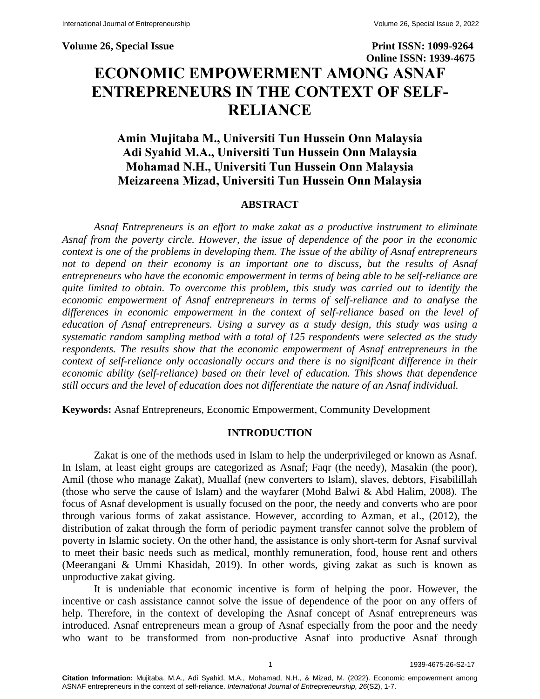# **Volume 26, Special Issue Print ISSN: 1099-9264 Online ISSN: 1939-4675 ECONOMIC EMPOWERMENT AMONG ASNAF ENTREPRENEURS IN THE CONTEXT OF SELF-RELIANCE**

## **Amin Mujitaba M., Universiti Tun Hussein Onn Malaysia Adi Syahid M.A., Universiti Tun Hussein Onn Malaysia Mohamad N.H., Universiti Tun Hussein Onn Malaysia Meizareena Mizad, Universiti Tun Hussein Onn Malaysia**

#### **ABSTRACT**

*Asnaf Entrepreneurs is an effort to make zakat as a productive instrument to eliminate Asnaf from the poverty circle. However, the issue of dependence of the poor in the economic context is one of the problems in developing them. The issue of the ability of Asnaf entrepreneurs not to depend on their economy is an important one to discuss, but the results of Asnaf entrepreneurs who have the economic empowerment in terms of being able to be self-reliance are quite limited to obtain. To overcome this problem, this study was carried out to identify the economic empowerment of Asnaf entrepreneurs in terms of self-reliance and to analyse the differences in economic empowerment in the context of self-reliance based on the level of education of Asnaf entrepreneurs. Using a survey as a study design, this study was using a systematic random sampling method with a total of 125 respondents were selected as the study respondents. The results show that the economic empowerment of Asnaf entrepreneurs in the context of self-reliance only occasionally occurs and there is no significant difference in their economic ability (self-reliance) based on their level of education. This shows that dependence still occurs and the level of education does not differentiate the nature of an Asnaf individual.*

**Keywords:** Asnaf Entrepreneurs, Economic Empowerment, Community Development

#### **INTRODUCTION**

Zakat is one of the methods used in Islam to help the underprivileged or known as Asnaf. In Islam, at least eight groups are categorized as Asnaf; Faqr (the needy), Masakin (the poor), Amil (those who manage Zakat), Muallaf (new converters to Islam), slaves, debtors, Fisabilillah (those who serve the cause of Islam) and the wayfarer (Mohd Balwi & Abd Halim, 2008). The focus of Asnaf development is usually focused on the poor, the needy and converts who are poor through various forms of zakat assistance. However, according to Azman, et al., (2012), the distribution of zakat through the form of periodic payment transfer cannot solve the problem of poverty in Islamic society. On the other hand, the assistance is only short-term for Asnaf survival to meet their basic needs such as medical, monthly remuneration, food, house rent and others (Meerangani & Ummi Khasidah, 2019). In other words, giving zakat as such is known as unproductive zakat giving.

It is undeniable that economic incentive is form of helping the poor. However, the incentive or cash assistance cannot solve the issue of dependence of the poor on any offers of help. Therefore, in the context of developing the Asnaf concept of Asnaf entrepreneurs was introduced. Asnaf entrepreneurs mean a group of Asnaf especially from the poor and the needy who want to be transformed from non-productive Asnaf into productive Asnaf through

**Citation Information:** Mujitaba, M.A., Adi Syahid, M.A., Mohamad, N.H., & Mizad, M. (2022). Economic empowerment among ASNAF entrepreneurs in the context of self-reliance. *International Journal of Entrepreneurship, 26*(S2), 1-7.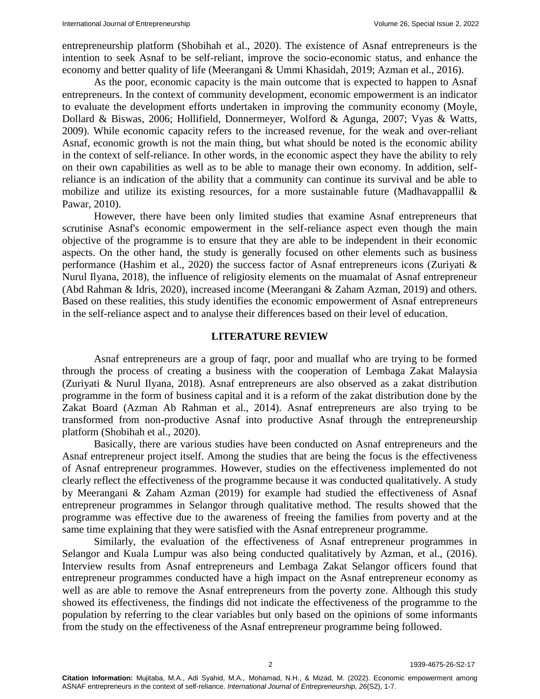entrepreneurship platform (Shobihah et al., 2020). The existence of Asnaf entrepreneurs is the intention to seek Asnaf to be self-reliant, improve the socio-economic status, and enhance the economy and better quality of life (Meerangani & Ummi Khasidah, 2019; Azman et al., 2016).

As the poor, economic capacity is the main outcome that is expected to happen to Asnaf entrepreneurs. In the context of community development, economic empowerment is an indicator to evaluate the development efforts undertaken in improving the community economy (Moyle, Dollard & Biswas, 2006; Hollifield, Donnermeyer, Wolford & Agunga, 2007; Vyas & Watts, 2009). While economic capacity refers to the increased revenue, for the weak and over-reliant Asnaf, economic growth is not the main thing, but what should be noted is the economic ability in the context of self-reliance. In other words, in the economic aspect they have the ability to rely on their own capabilities as well as to be able to manage their own economy. In addition, selfreliance is an indication of the ability that a community can continue its survival and be able to mobilize and utilize its existing resources, for a more sustainable future (Madhavappallil  $\&$ Pawar, 2010).

However, there have been only limited studies that examine Asnaf entrepreneurs that scrutinise Asnaf's economic empowerment in the self-reliance aspect even though the main objective of the programme is to ensure that they are able to be independent in their economic aspects. On the other hand, the study is generally focused on other elements such as business performance (Hashim et al., 2020) the success factor of Asnaf entrepreneurs icons (Zuriyati & Nurul Ilyana, 2018), the influence of religiosity elements on the muamalat of Asnaf entrepreneur (Abd Rahman & Idris, 2020), increased income (Meerangani & Zaham Azman, 2019) and others. Based on these realities, this study identifies the economic empowerment of Asnaf entrepreneurs in the self-reliance aspect and to analyse their differences based on their level of education.

#### **LITERATURE REVIEW**

Asnaf entrepreneurs are a group of faqr, poor and muallaf who are trying to be formed through the process of creating a business with the cooperation of Lembaga Zakat Malaysia (Zuriyati & Nurul Ilyana, 2018). Asnaf entrepreneurs are also observed as a zakat distribution programme in the form of business capital and it is a reform of the zakat distribution done by the Zakat Board (Azman Ab Rahman et al., 2014). Asnaf entrepreneurs are also trying to be transformed from non-productive Asnaf into productive Asnaf through the entrepreneurship platform (Shobihah et al., 2020).

Basically, there are various studies have been conducted on Asnaf entrepreneurs and the Asnaf entrepreneur project itself. Among the studies that are being the focus is the effectiveness of Asnaf entrepreneur programmes. However, studies on the effectiveness implemented do not clearly reflect the effectiveness of the programme because it was conducted qualitatively. A study by Meerangani & Zaham Azman (2019) for example had studied the effectiveness of Asnaf entrepreneur programmes in Selangor through qualitative method. The results showed that the programme was effective due to the awareness of freeing the families from poverty and at the same time explaining that they were satisfied with the Asnaf entrepreneur programme.

Similarly, the evaluation of the effectiveness of Asnaf entrepreneur programmes in Selangor and Kuala Lumpur was also being conducted qualitatively by Azman, et al., (2016). Interview results from Asnaf entrepreneurs and Lembaga Zakat Selangor officers found that entrepreneur programmes conducted have a high impact on the Asnaf entrepreneur economy as well as are able to remove the Asnaf entrepreneurs from the poverty zone. Although this study showed its effectiveness, the findings did not indicate the effectiveness of the programme to the population by referring to the clear variables but only based on the opinions of some informants from the study on the effectiveness of the Asnaf entrepreneur programme being followed.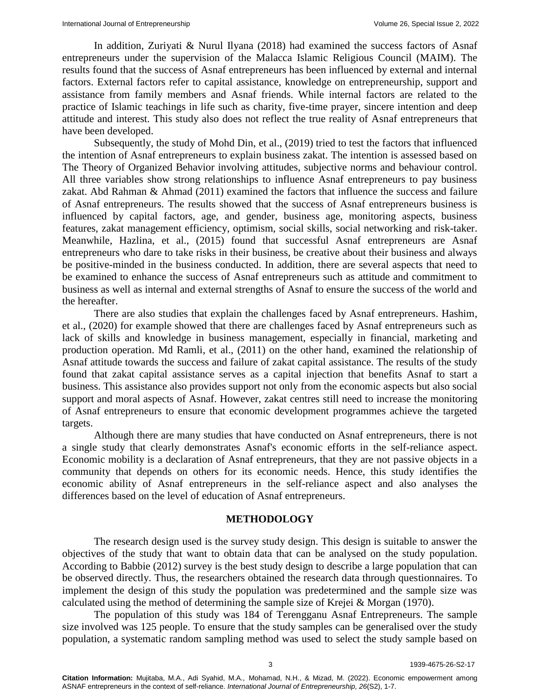In addition, Zuriyati & Nurul Ilyana (2018) had examined the success factors of Asnaf entrepreneurs under the supervision of the Malacca Islamic Religious Council (MAIM). The results found that the success of Asnaf entrepreneurs has been influenced by external and internal factors. External factors refer to capital assistance, knowledge on entrepreneurship, support and assistance from family members and Asnaf friends. While internal factors are related to the practice of Islamic teachings in life such as charity, five-time prayer, sincere intention and deep attitude and interest. This study also does not reflect the true reality of Asnaf entrepreneurs that have been developed.

Subsequently, the study of Mohd Din, et al., (2019) tried to test the factors that influenced the intention of Asnaf entrepreneurs to explain business zakat. The intention is assessed based on The Theory of Organized Behavior involving attitudes, subjective norms and behaviour control. All three variables show strong relationships to influence Asnaf entrepreneurs to pay business zakat. Abd Rahman & Ahmad (2011) examined the factors that influence the success and failure of Asnaf entrepreneurs. The results showed that the success of Asnaf entrepreneurs business is influenced by capital factors, age, and gender, business age, monitoring aspects, business features, zakat management efficiency, optimism, social skills, social networking and risk-taker. Meanwhile, Hazlina, et al., (2015) found that successful Asnaf entrepreneurs are Asnaf entrepreneurs who dare to take risks in their business, be creative about their business and always be positive-minded in the business conducted. In addition, there are several aspects that need to be examined to enhance the success of Asnaf entrepreneurs such as attitude and commitment to business as well as internal and external strengths of Asnaf to ensure the success of the world and the hereafter.

There are also studies that explain the challenges faced by Asnaf entrepreneurs. Hashim, et al., (2020) for example showed that there are challenges faced by Asnaf entrepreneurs such as lack of skills and knowledge in business management, especially in financial, marketing and production operation. Md Ramli, et al., (2011) on the other hand, examined the relationship of Asnaf attitude towards the success and failure of zakat capital assistance. The results of the study found that zakat capital assistance serves as a capital injection that benefits Asnaf to start a business. This assistance also provides support not only from the economic aspects but also social support and moral aspects of Asnaf. However, zakat centres still need to increase the monitoring of Asnaf entrepreneurs to ensure that economic development programmes achieve the targeted targets.

Although there are many studies that have conducted on Asnaf entrepreneurs, there is not a single study that clearly demonstrates Asnaf's economic efforts in the self-reliance aspect. Economic mobility is a declaration of Asnaf entrepreneurs, that they are not passive objects in a community that depends on others for its economic needs. Hence, this study identifies the economic ability of Asnaf entrepreneurs in the self-reliance aspect and also analyses the differences based on the level of education of Asnaf entrepreneurs.

#### **METHODOLOGY**

The research design used is the survey study design. This design is suitable to answer the objectives of the study that want to obtain data that can be analysed on the study population. According to Babbie (2012) survey is the best study design to describe a large population that can be observed directly. Thus, the researchers obtained the research data through questionnaires. To implement the design of this study the population was predetermined and the sample size was calculated using the method of determining the sample size of Krejei & Morgan (1970).

The population of this study was 184 of Terengganu Asnaf Entrepreneurs. The sample size involved was 125 people. To ensure that the study samples can be generalised over the study population, a systematic random sampling method was used to select the study sample based on

**Citation Information:** Mujitaba, M.A., Adi Syahid, M.A., Mohamad, N.H., & Mizad, M. (2022). Economic empowerment among ASNAF entrepreneurs in the context of self-reliance. *International Journal of Entrepreneurship, 26*(S2), 1-7.

3 1939-4675-26-S2-17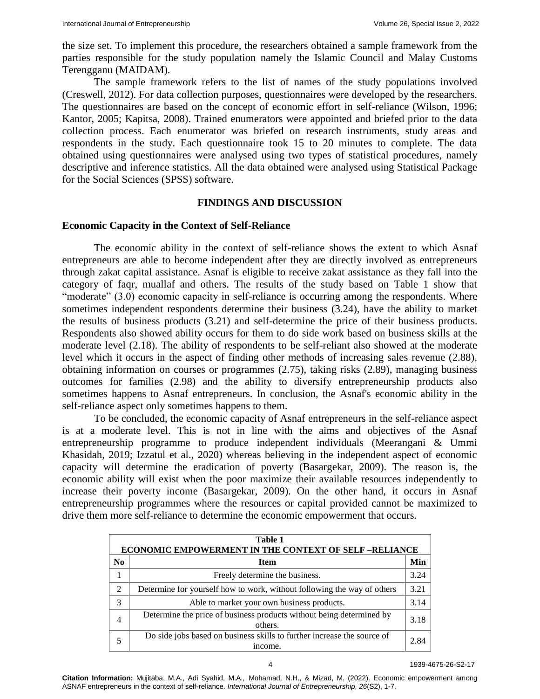the size set. To implement this procedure, the researchers obtained a sample framework from the parties responsible for the study population namely the Islamic Council and Malay Customs Terengganu (MAIDAM).

The sample framework refers to the list of names of the study populations involved (Creswell, 2012). For data collection purposes, questionnaires were developed by the researchers. The questionnaires are based on the concept of economic effort in self-reliance (Wilson, 1996; Kantor, 2005; Kapitsa, 2008). Trained enumerators were appointed and briefed prior to the data collection process. Each enumerator was briefed on research instruments, study areas and respondents in the study. Each questionnaire took 15 to 20 minutes to complete. The data obtained using questionnaires were analysed using two types of statistical procedures, namely descriptive and inference statistics. All the data obtained were analysed using Statistical Package for the Social Sciences (SPSS) software.

#### **FINDINGS AND DISCUSSION**

#### **Economic Capacity in the Context of Self-Reliance**

The economic ability in the context of self-reliance shows the extent to which Asnaf entrepreneurs are able to become independent after they are directly involved as entrepreneurs through zakat capital assistance. Asnaf is eligible to receive zakat assistance as they fall into the category of faqr, muallaf and others. The results of the study based on Table 1 show that "moderate" (3.0) economic capacity in self-reliance is occurring among the respondents. Where sometimes independent respondents determine their business (3.24), have the ability to market the results of business products (3.21) and self-determine the price of their business products. Respondents also showed ability occurs for them to do side work based on business skills at the moderate level (2.18). The ability of respondents to be self-reliant also showed at the moderate level which it occurs in the aspect of finding other methods of increasing sales revenue (2.88), obtaining information on courses or programmes (2.75), taking risks (2.89), managing business outcomes for families (2.98) and the ability to diversify entrepreneurship products also sometimes happens to Asnaf entrepreneurs. In conclusion, the Asnaf's economic ability in the self-reliance aspect only sometimes happens to them.

To be concluded, the economic capacity of Asnaf entrepreneurs in the self-reliance aspect is at a moderate level. This is not in line with the aims and objectives of the Asnaf entrepreneurship programme to produce independent individuals (Meerangani & Ummi Khasidah, 2019; Izzatul et al., 2020) whereas believing in the independent aspect of economic capacity will determine the eradication of poverty (Basargekar, 2009). The reason is, the economic ability will exist when the poor maximize their available resources independently to increase their poverty income (Basargekar, 2009). On the other hand, it occurs in Asnaf entrepreneurship programmes where the resources or capital provided cannot be maximized to drive them more self-reliance to determine the economic empowerment that occurs.

| Table 1<br><b>ECONOMIC EMPOWERMENT IN THE CONTEXT OF SELF-RELIANCE</b> |                                                                                    |      |  |  |  |  |
|------------------------------------------------------------------------|------------------------------------------------------------------------------------|------|--|--|--|--|
| No                                                                     | <b>Item</b>                                                                        | Min  |  |  |  |  |
|                                                                        | Freely determine the business.                                                     | 3.24 |  |  |  |  |
| $\mathcal{L}$                                                          | Determine for yourself how to work, without following the way of others            |      |  |  |  |  |
| 3                                                                      | Able to market your own business products.                                         |      |  |  |  |  |
| $\overline{4}$                                                         | Determine the price of business products without being determined by<br>others.    | 3.18 |  |  |  |  |
|                                                                        | Do side jobs based on business skills to further increase the source of<br>income. | 2.84 |  |  |  |  |

**Citation Information:** Mujitaba, M.A., Adi Syahid, M.A., Mohamad, N.H., & Mizad, M. (2022). Economic empowerment among ASNAF entrepreneurs in the context of self-reliance. *International Journal of Entrepreneurship, 26*(S2), 1-7.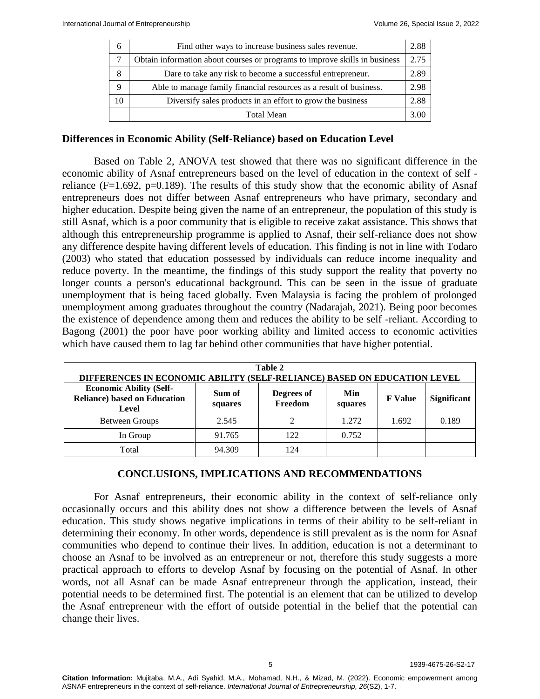| 6  | Find other ways to increase business sales revenue.                                                                              | 2.88 |  |  |
|----|----------------------------------------------------------------------------------------------------------------------------------|------|--|--|
|    | Obtain information about courses or programs to improve skills in business                                                       | 2.75 |  |  |
| 8  | Dare to take any risk to become a successful entrepreneur.<br>Able to manage family financial resources as a result of business. |      |  |  |
| Q  |                                                                                                                                  |      |  |  |
| 10 | Diversify sales products in an effort to grow the business                                                                       |      |  |  |
|    | <b>Total Mean</b>                                                                                                                | 3.00 |  |  |

#### **Differences in Economic Ability (Self-Reliance) based on Education Level**

Based on Table 2, ANOVA test showed that there was no significant difference in the economic ability of Asnaf entrepreneurs based on the level of education in the context of self reliance (F=1.692, p=0.189). The results of this study show that the economic ability of Asnaf entrepreneurs does not differ between Asnaf entrepreneurs who have primary, secondary and higher education. Despite being given the name of an entrepreneur, the population of this study is still Asnaf, which is a poor community that is eligible to receive zakat assistance. This shows that although this entrepreneurship programme is applied to Asnaf, their self-reliance does not show any difference despite having different levels of education. This finding is not in line with Todaro (2003) who stated that education possessed by individuals can reduce income inequality and reduce poverty. In the meantime, the findings of this study support the reality that poverty no longer counts a person's educational background. This can be seen in the issue of graduate unemployment that is being faced globally. Even Malaysia is facing the problem of prolonged unemployment among graduates throughout the country (Nadarajah, 2021). Being poor becomes the existence of dependence among them and reduces the ability to be self -reliant. According to Bagong (2001) the poor have poor working ability and limited access to economic activities which have caused them to lag far behind other communities that have higher potential.

| Table 2<br>DIFFERENCES IN ECONOMIC ABILITY (SELF-RELIANCE) BASED ON EDUCATION LEVEL |                   |                       |                |                |                    |  |  |  |  |
|-------------------------------------------------------------------------------------|-------------------|-----------------------|----------------|----------------|--------------------|--|--|--|--|
| <b>Economic Ability (Self-</b><br><b>Reliance)</b> based on Education<br>Level      | Sum of<br>squares | Degrees of<br>Freedom | Min<br>squares | <b>F</b> Value | <b>Significant</b> |  |  |  |  |
| Between Groups                                                                      | 2.545             |                       | 1.272          | 1.692          | 0.189              |  |  |  |  |
| In Group                                                                            | 91.765            | 122.                  | 0.752          |                |                    |  |  |  |  |
| Total                                                                               | 94.309            | 124                   |                |                |                    |  |  |  |  |

### **CONCLUSIONS, IMPLICATIONS AND RECOMMENDATIONS**

For Asnaf entrepreneurs, their economic ability in the context of self-reliance only occasionally occurs and this ability does not show a difference between the levels of Asnaf education. This study shows negative implications in terms of their ability to be self-reliant in determining their economy. In other words, dependence is still prevalent as is the norm for Asnaf communities who depend to continue their lives. In addition, education is not a determinant to choose an Asnaf to be involved as an entrepreneur or not, therefore this study suggests a more practical approach to efforts to develop Asnaf by focusing on the potential of Asnaf. In other words, not all Asnaf can be made Asnaf entrepreneur through the application, instead, their potential needs to be determined first. The potential is an element that can be utilized to develop the Asnaf entrepreneur with the effort of outside potential in the belief that the potential can change their lives.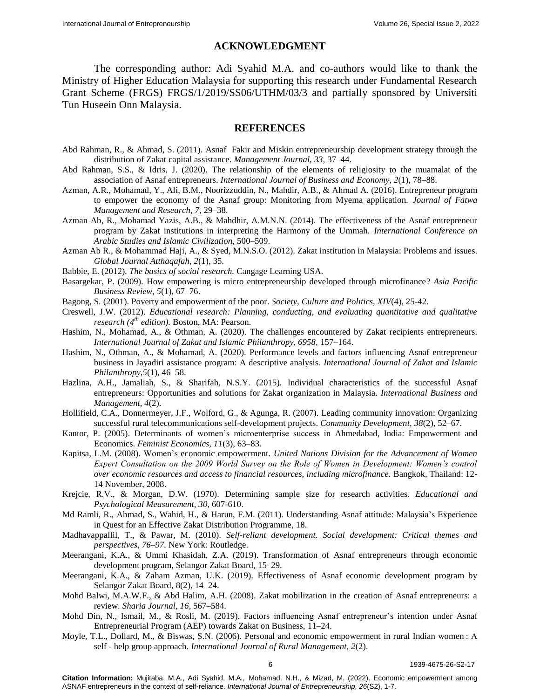#### **ACKNOWLEDGMENT**

The corresponding author: Adi Syahid M.A. and co-authors would like to thank the Ministry of Higher Education Malaysia for supporting this research under Fundamental Research Grant Scheme (FRGS) FRGS/1/2019/SS06/UTHM/03/3 and partially sponsored by Universiti Tun Huseein Onn Malaysia.

#### **REFERENCES**

- Abd Rahman, R., & Ahmad, S. (2011). [Asnaf Fakir and Miskin entrepreneurship development strategy through the](https://www.researchgate.net/publication/348490602_Asnaf_Entrepreneurial_Scheme_Evidence_From_Lembaga_Zakat_Negeri_Kedah)  distribution [of Zakat capital assistance.](https://www.researchgate.net/publication/348490602_Asnaf_Entrepreneurial_Scheme_Evidence_From_Lembaga_Zakat_Negeri_Kedah) *Management Journal, 33,* 37–44.
- Abd Rahman, S.S., & Idris, J. (2020). [The relationship of the elements of religiosity to the muamalat of the](https://www.abacademies.org/articles/economic-empowerment-among-asnaf-entrepreneurs-in-the-context-of-selfreliance.pdf)  [association of Asnaf entrepreneurs.](https://www.abacademies.org/articles/economic-empowerment-among-asnaf-entrepreneurs-in-the-context-of-selfreliance.pdf) *International Journal of Business and Economy, 2*(1), 78–88.
- Azman, A.R., Mohamad, Y., Ali, B.M., Noorizzuddin, N., Mahdir, A.B., & Ahmad A. (2016). Entrepreneur program to empower the economy of the Asnaf group: Monitoring from Myema application. *Journal of Fatwa Management and Research, 7,* 29–38.
- Azman Ab, R., Mohamad Yazis, A.B., & Mahdhir, A.M.N.N. (2014). [The effectiveness of the Asnaf entrepreneur](https://www.semanticscholar.org/paper/Zakat-Institution-in-Malaysia-%3A-Problems-and-Issues-Rahman/eba7dfb64b5ebc9bc1e32fbc0c6890c3760fcaa8)  [program by Zakat institutions in interpreting the Harmony of the Ummah.](https://www.semanticscholar.org/paper/Zakat-Institution-in-Malaysia-%3A-Problems-and-Issues-Rahman/eba7dfb64b5ebc9bc1e32fbc0c6890c3760fcaa8) *International Conference on Arabic Studies and Islamic Civilization,* 500–509.
- Azman Ab R., & Mohammad Haji, A., & Syed, M.N.S.O. (2012). Zakat institution in Malaysia: Problems and issues. *Global Journal Atthaqafah, 2*(1), 35.
- Babbie, E. (2012). *The basics of social research.* Cangage Learning USA.
- Basargekar, P. (2009). [How empowering is micro entrepreneurship developed through microfinance?](https://journals.sagepub.com/doi/10.1177/097324700900500108) *Asia Pacific Business Review, 5*(1), 67–76.
- Bagong, S. (2001). Poverty and empowerment of the poor. *Society, Culture and Politics, XIV*(4), 25-42.
- Creswell, J.W. (2012). *[Educational research: Planning, conducting, and evaluating quantitative and qualitative](https://www.researchgate.net/publication/324451568_Educational_Research_Planning_Conducting_and_Evaluating_Quantitative_and_Qualitative_Research_6th_Edition)  [research \(4](https://www.researchgate.net/publication/324451568_Educational_Research_Planning_Conducting_and_Evaluating_Quantitative_and_Qualitative_Research_6th_Edition)th edition).* Boston, MA: Pearson.
- Hashim, N., Mohamad, A., & Othman, A. (2020). [The challenges encountered by](https://www.semanticscholar.org/paper/THE-CHALLENGES-ENCOUNTERED-BY-ZAKAT-RECIPIENTS-Hashim-Mohamad/34561267072e511570d7b88deb386e227815e750) Zakat recipients entrepreneurs. *International Journal of Zakat and Islamic Philanthropy, 6958,* 157–164.
- Hashim, N., Othman, A., & Mohamad, A. (2020). Performance levels and factors influencing Asnaf entrepreneur business in Jayadiri assistance program: A descriptive analysis. *International Journal of Zakat and Islamic Philanthropy,5*(1), 46–58.
- Hazlina, A.H., Jamaliah, S., & Sharifah, N.S.Y. (2015). [Individual characteristics of the successful Asnaf](https://www.researchgate.net/publication/280816538_Individual_Characteristics_of_the_Successful_Asnaf_Entrepreneurs_Opportunities_and_Solutions_for_Zakat_Organization_in_Malaysia)  [entrepreneurs: Opportunities and solutions for Zakat organization in Malaysia.](https://www.researchgate.net/publication/280816538_Individual_Characteristics_of_the_Successful_Asnaf_Entrepreneurs_Opportunities_and_Solutions_for_Zakat_Organization_in_Malaysia) *International Business and Management, 4*(2).
- Hollifield, C.A., Donnermeyer, J.F., Wolford, G., & Agunga, R. (2007). [Leading community innovation: Organizing](https://www.tandfonline.com/doi/abs/10.1080/15575330709489839)  [successful rural telecommunications self-development projects.](https://www.tandfonline.com/doi/abs/10.1080/15575330709489839) *Community Development, 38*(2), 52–67.
- Kantor, P. (2005). [Determinants of women's microenterprise success in](https://www.researchgate.net/publication/24080966_Determinants_of_Women) Ahmedabad, India: Empowerment and [Economics.](https://www.researchgate.net/publication/24080966_Determinants_of_Women) *Feminist Economics, 11*(3), 63–83.
- Kapitsa, L.M. (2008). [Women's economic empowerment.](https://www.gatesfoundation.org/equal-is-greater/our-approach/#:~:text=We%20define%20women) *United Nations Division for the Advancement of Women Expert Consultation on the 2009 World Survey on the Role of Women in Development: Women's control over economic resources and access to financial resources, including microfinance.* Bangkok, Thailand: 12- 14 November, 2008.
- Krejcie, R.V., & Morgan, D.W. (1970). [Determining sample size for research activities.](https://journals.sagepub.com/doi/10.1177/001316447003000308) *Educational and Psychological Measurement, 30,* 607-610.
- Md Ramli, R., Ahmad, S., Wahid, H., & Harun, F.M. (2011). Understanding Asnaf attitude: Malaysia's Experience in Quest for an Effective Zakat Distribution Programme, 18.
- Madhavappallil, T., & Pawar, M. (2010). *Self-reliant development. Social development: Critical themes and perspectives, 76–97.* New York: Routledge.
- Meerangani, K.A., & Ummi Khasidah, Z.A. (2019). Transformation of Asnaf entrepreneurs through economic development program, Selangor Zakat Board, 15–29.
- Meerangani, K.A., & Zaham Azman, U.K. (2019). Effectiveness of Asnaf economic development program by Selangor Zakat Board, 8(2), 14–24.
- Mohd Balwi, M.A.W.F., & Abd Halim, A.H. (2008). [Zakat mobilization in the creation of Asnaf entrepreneurs: a](https://www.semanticscholar.org/paper/FACTORS-INFLUENCING-ASNAF-ENTREPRENEUR%E2%80%99S-INTENTION-Din-Ismail/eb9e1c8bd16a7a4fa1aff304d8bca48ad5263b6d)  [review.](https://www.semanticscholar.org/paper/FACTORS-INFLUENCING-ASNAF-ENTREPRENEUR%E2%80%99S-INTENTION-Din-Ismail/eb9e1c8bd16a7a4fa1aff304d8bca48ad5263b6d) *Sharia Journal, 16,* 567–584.
- Mohd Din, N., Ismail, M., & Rosli, M. (2019). Factors influencing Asnaf entrepreneur's intention under Asnaf Entrepreneurial Program (AEP) towards Zakat on Business, 11–24.
- Moyle, T.L., Dollard, M., & Biswas, S.N. (2006). [Personal and economic empowerment in rural Indian women : A](https://journals.sagepub.com/doi/10.1177/097300520600200207)  self - [help group approach.](https://journals.sagepub.com/doi/10.1177/097300520600200207) *International Journal of Rural Management, 2*(2).